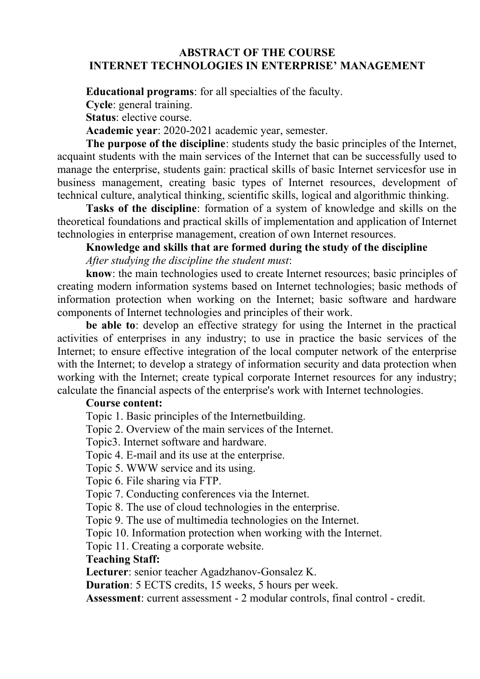## **ABSTRACT OF THE COURSE INTERNET TECHNOLOGIES IN ENTERPRISE' MANAGEMENT**

**Educational programs**: for all specialties of the faculty.

**Cycle**: general training.

**Status**: elective course.

**Academic year**: 2020-2021 academic year, semester.

**The purpose of the discipline**: students study the basic principles of the Internet, acquaint students with the main services of the Internet that can be successfully used to manage the enterprise, students gain: practical skills of basic Internet servicesfor use in business management, creating basic types of Internet resources, development of technical culture, analytical thinking, scientific skills, logical and algorithmic thinking.

**Tasks of the discipline**: formation of a system of knowledge and skills on the theoretical foundations and practical skills of implementation and application of Internet technologies in enterprise management, creation of own Internet resources.

# **Knowledge and skills that are formed during the study of the discipline** *After studying the discipline the student must*:

**know**: the main technologies used to create Internet resources; basic principles of creating modern information systems based on Internet technologies; basic methods of information protection when working on the Internet; basic software and hardware components of Internet technologies and principles of their work.

**be able to**: develop an effective strategy for using the Internet in the practical activities of enterprises in any industry; to use in practice the basic services of the Internet; to ensure effective integration of the local computer network of the enterprise with the Internet; to develop a strategy of information security and data protection when working with the Internet; create typical corporate Internet resources for any industry; calculate the financial aspects of the enterprise's work with Internet technologies.

## **Course content:**

Topic 1. Basic principles of the Internetbuilding.

Topic 2. Overview of the main services of the Internet.

Topic3. Internet software and hardware.

Topic 4. E-mail and its use at the enterprise.

Topic 5. WWW service and its using.

Topic 6. File sharing via FTP.

Topic 7. Conducting conferences via the Internet.

Topic 8. The use of cloud technologies in the enterprise.

Topic 9. The use of multimedia technologies on the Internet.

Topic 10. Information protection when working with the Internet.

Topic 11. Creating a corporate website.

## **Teaching Staff:**

**Lecturer**: senior teacher Agadzhanov-Gonsalez K.

**Duration**: 5 ECTS credits, 15 weeks, 5 hours per week.

**Assessment**: current assessment - 2 modular controls, final control - credit.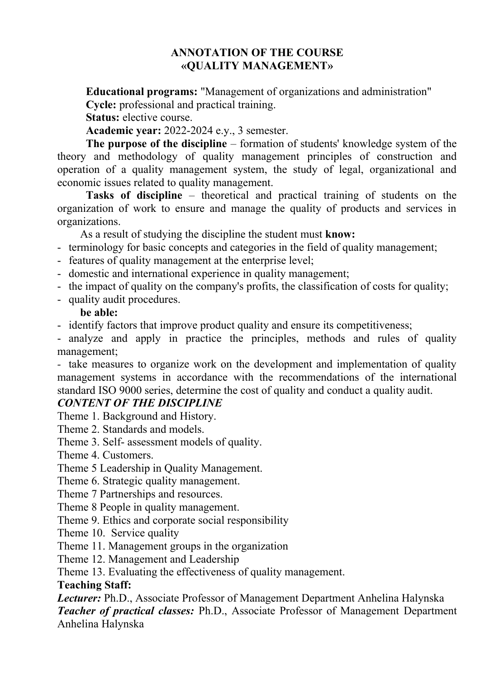# **ANNOTATION OF THE COURSE «QUALITY MANAGEMENT»**

**Educational programs:** "Management of organizations and administration"

**Cycle:** professional and practical training.

**Status:** elective course.

**Academic year:** 2022-2024 e.y., 3 semester.

**The purpose of the discipline** – formation of students' knowledge system of the theory and methodology of quality management principles of construction and operation of a quality management system, the study of legal, organizational and economic issues related to quality management.

**Tasks of discipline** – theoretical and practical training of students on the organization of work to ensure and manage the quality of products and services in organizations.

As a result of studying the discipline the student must **know:**

- terminology for basic concepts and categories in the field of quality management;
- features of quality management at the enterprise level;
- domestic and international experience in quality management;
- the impact of quality on the company's profits, the classification of costs for quality;
- quality audit procedures.

# **be able:**

- identify factors that improve product quality and ensure its competitiveness;

- analyze and apply in practice the principles, methods and rules of quality management;

*-* take measures to organize work on the development and implementation of quality management systems in accordance with the recommendations of the international standard ISO 9000 series, determine the cost of quality and conduct a quality audit.

# *CONTENT OF THE DISCIPLINE*

Theme 1. Background and History.

Theme 2. Standards and models.

Theme 3. Self- assessment models of quality.

- Theme 4. Customers.
- Theme 5 Leadership in Quality Management.
- Theme 6. Strategic quality management.
- Theme 7 Partnerships and resources.
- Theme 8 People in quality management.
- Theme 9. Ethics and corporate social responsibility
- Theme 10. Service quality
- Theme 11. Management groups in the organization
- Theme 12. Management and Leadership

Theme 13. Evaluating the effectiveness of quality management.

## **Teaching Staff:**

*Lecturer:* Ph.D., Associate Professor of Management Department Anhelina Halynska *Teacher of practical classes:* Ph.D., Associate Professor of Management Department Anhelina Halynska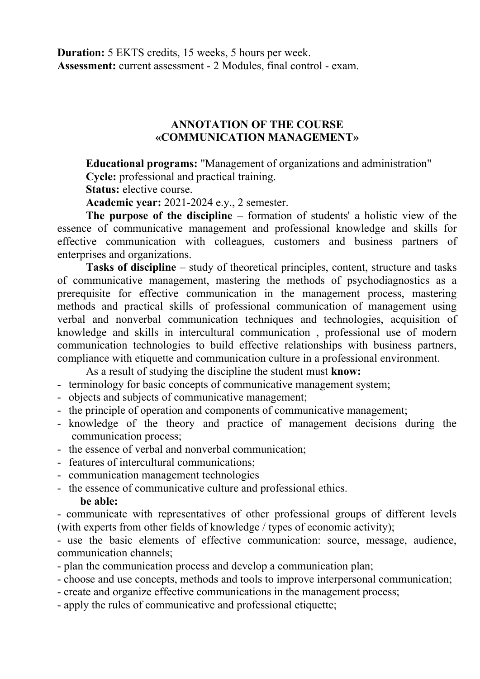**Duration:** 5 EKTS credits, 15 weeks, 5 hours per week. **Assessment:** current assessment - 2 Modules, final control - exam.

# **ANNOTATION OF THE COURSE «COMMUNICATION MANAGEMENT»**

**Educational programs:** "Management of organizations and administration" **Cycle:** professional and practical training.

**Status:** elective course.

**Academic year:** 2021-2024 e.y., 2 semester.

**The purpose of the discipline** – formation of students' a holistic view of the essence of communicative management and professional knowledge and skills for effective communication with colleagues, customers and business partners of enterprises and organizations.

**Tasks of discipline** – study of theoretical principles, content, structure and tasks of communicative management, mastering the methods of psychodiagnostics as a prerequisite for effective communication in the management process, mastering methods and practical skills of professional communication of management using verbal and nonverbal communication techniques and technologies, acquisition of knowledge and skills in intercultural communication , professional use of modern communication technologies to build effective relationships with business partners, compliance with etiquette and communication culture in a professional environment.

As a result of studying the discipline the student must **know:**

- terminology for basic concepts of communicative management system;
- objects and subjects of communicative management;
- the principle of operation and components of communicative management;
- knowledge of the theory and practice of management decisions during the communication process;
- the essence of verbal and nonverbal communication;
- features of intercultural communications;
- communication management technologies
- the essence of communicative culture and professional ethics.

#### **be able:**

- communicate with representatives of other professional groups of different levels (with experts from other fields of knowledge / types of economic activity);

- use the basic elements of effective communication: source, message, audience, communication channels;

- plan the communication process and develop a communication plan;
- choose and use concepts, methods and tools to improve interpersonal communication;
- create and organize effective communications in the management process;
- apply the rules of communicative and professional etiquette;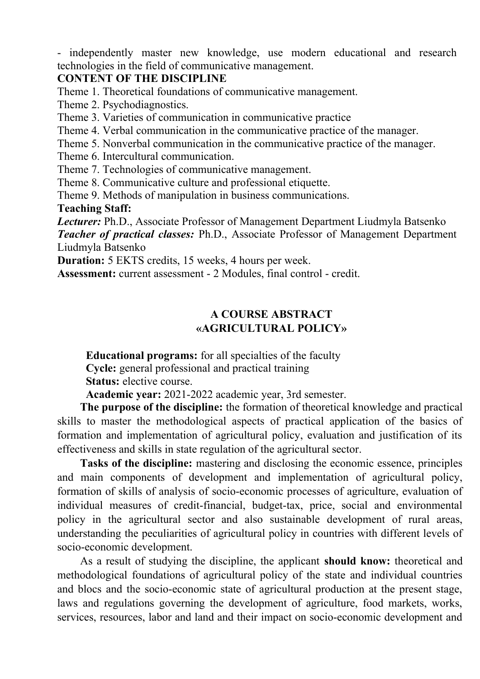- independently master new knowledge, use modern educational and research technologies in the field of communicative management.

## **CONTENT OF THE DISCIPLINE**

Theme 1. Theoretical foundations of communicative management.

Theme 2. Psychodiagnostics.

Theme 3. Varieties of communication in communicative practice

Theme 4. Verbal communication in the communicative practice of the manager.

Theme 5. Nonverbal communication in the communicative practice of the manager.

Theme 6. Intercultural communication.

Theme 7. Technologies of communicative management.

Theme 8. Communicative culture and professional etiquette.

Theme 9. Methods of manipulation in business communications.

**Teaching Staff:**

*Lecturer:* Ph.D., Associate Professor of Management Department Liudmyla Batsenko *Teacher of practical classes:* Ph.D., Associate Professor of Management Department Liudmyla Batsenko

**Duration:** 5 EKTS credits, 15 weeks, 4 hours per week.

**Assessment:** current assessment - 2 Modules, final control - credit.

# **A COURSE ABSTRACT «AGRICULTURAL POLICY»**

**Educational programs:** for all specialties of the faculty **Cycle:** general professional and practical training **Status:** elective course.

**Academic year:** 2021-2022 academic year, 3rd semester.

**The purpose of the discipline:** the formation of theoretical knowledge and practical skills to master the methodological aspects of practical application of the basics of formation and implementation of agricultural policy, evaluation and justification of its effectiveness and skills in state regulation of the agricultural sector.

**Tasks of the discipline:** mastering and disclosing the economic essence, principles and main components of development and implementation of agricultural policy, formation of skills of analysis of socio-economic processes of agriculture, evaluation of individual measures of credit-financial, budget-tax, price, social and environmental policy in the agricultural sector and also sustainable development of rural areas, understanding the peculiarities of agricultural policy in countries with different levels of socio-economic development.

As a result of studying the discipline, the applicant **should know:** theoretical and methodological foundations of agricultural policy of the state and individual countries and blocs and the socio-economic state of agricultural production at the present stage, laws and regulations governing the development of agriculture, food markets, works, services, resources, labor and land and their impact on socio-economic development and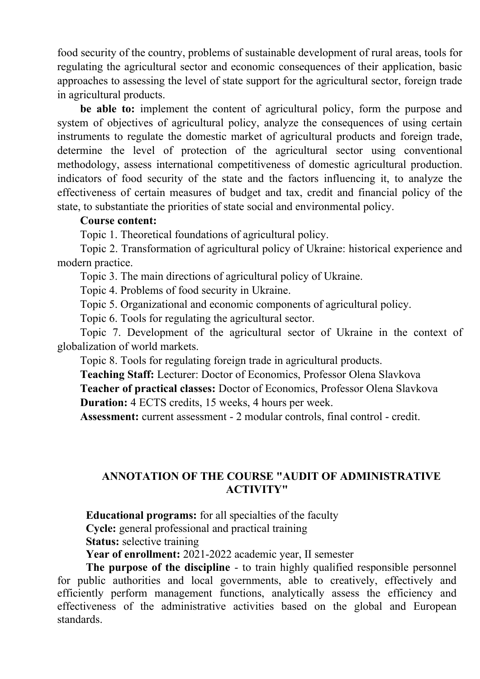food security of the country, problems of sustainable development of rural areas, tools for regulating the agricultural sector and economic consequences of their application, basic approaches to assessing the level of state support for the agricultural sector, foreign trade in agricultural products.

**be able to:** implement the content of agricultural policy, form the purpose and system of objectives of agricultural policy, analyze the consequences of using certain instruments to regulate the domestic market of agricultural products and foreign trade, determine the level of protection of the agricultural sector using conventional methodology, assess international competitiveness of domestic agricultural production. indicators of food security of the state and the factors influencing it, to analyze the effectiveness of certain measures of budget and tax, credit and financial policy of the state, to substantiate the priorities of state social and environmental policy.

#### **Course content:**

Topic 1. Theoretical foundations of agricultural policy.

Topic 2. Transformation of agricultural policy of Ukraine: historical experience and modern practice.

Topic 3. The main directions of agricultural policy of Ukraine.

Topic 4. Problems of food security in Ukraine.

Topic 5. Organizational and economic components of agricultural policy.

Topic 6. Tools for regulating the agricultural sector.

Topic 7. Development of the agricultural sector of Ukraine in the context of globalization of world markets.

Topic 8. Tools for regulating foreign trade in agricultural products.

**Teaching Staff:** Lecturer: Doctor of Economics, Professor Olena Slavkova

**Teacher of practical classes:** Doctor of Economics, Professor Olena Slavkova **Duration:** 4 ECTS credits, 15 weeks, 4 hours per week.

**Assessment:** current assessment - 2 modular controls, final control - credit.

# **ANNOTATION OF THE COURSE "AUDIT OF ADMINISTRATIVE ACTIVITY"**

**Educational programs:** for all specialties of the faculty

**Cycle:** general professional and practical training

**Status:** selective training

**Year of enrollment:** 2021-2022 academic year, II semester

**The purpose of the discipline** - to train highly qualified responsible personnel for public authorities and local governments, able to creatively, effectively and efficiently perform management functions, analytically assess the efficiency and effectiveness of the administrative activities based on the global and European standards.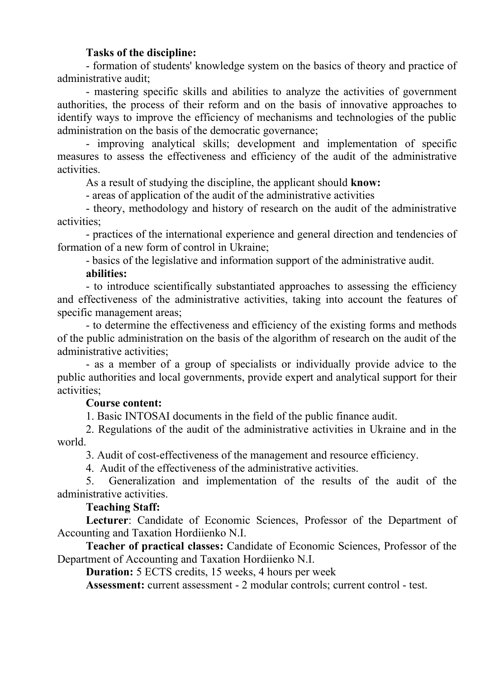## **Tasks of the discipline:**

- formation of students' knowledge system on the basics of theory and practice of administrative audit;

- mastering specific skills and abilities to analyze the activities of government authorities, the process of their reform and on the basis of innovative approaches to identify ways to improve the efficiency of mechanisms and technologies of the public administration on the basis of the democratic governance;

- improving analytical skills; development and implementation of specific measures to assess the effectiveness and efficiency of the audit of the administrative activities.

As a result of studying the discipline, the applicant should **know:**

- areas of application of the audit of the administrative activities

- theory, methodology and history of research on the audit of the administrative activities;

- practices of the international experience and general direction and tendencies of formation of a new form of control in Ukraine;

- basics of the legislative and information support of the administrative audit. **abilities:**

- to introduce scientifically substantiated approaches to assessing the efficiency and effectiveness of the administrative activities, taking into account the features of specific management areas;

- to determine the effectiveness and efficiency of the existing forms and methods of the public administration on the basis of the algorithm of research on the audit of the administrative activities;

- as a member of a group of specialists or individually provide advice to the public authorities and local governments, provide expert and analytical support for their activities;

#### **Course content:**

1. Basic INTOSAI documents in the field of the public finance audit.

2. Regulations of the audit of the administrative activities in Ukraine and in the world.

3. Audit of cost-effectiveness of the management and resource efficiency.

4. Audit of the effectiveness of the administrative activities.

5. Generalization and implementation of the results of the audit of the administrative activities.

## **Teaching Staff:**

**Lecturer**: Candidate of Economic Sciences, Professor of the Department of Accounting and Taxation Hordiienko N.I.

**Teacher of practical classes:** Candidate of Economic Sciences, Professor of the Department of Accounting and Taxation Hordiienko N.I.

**Duration:** 5 ECTS credits, 15 weeks, 4 hours per week

**Assessment:** current assessment - 2 modular controls; current control - test.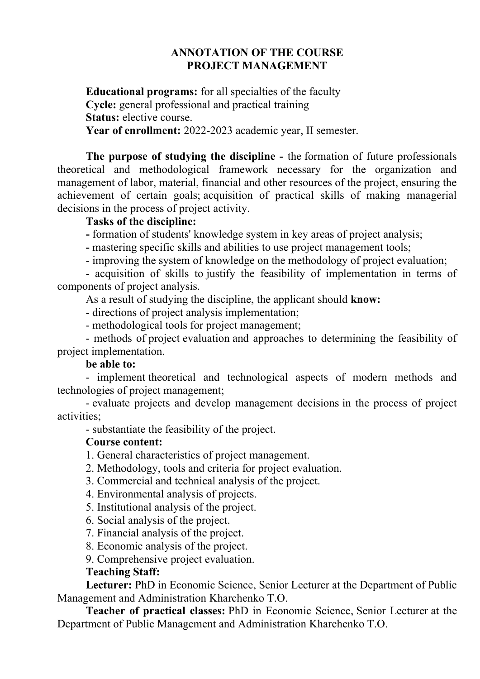# **ANNOTATION OF THE COURSE PROJECT MANAGEMENT**

**Educational programs:** for all specialties of the faculty **Cycle:** general professional and practical training **Status:** elective course. **Year of enrollment:** 2022-2023 academic year, ІІ semester.

**The purpose of studying the discipline -** the formation of future professionals theoretical and methodological framework necessary for the organization and management of labor, material, financial and other resources of the project, ensuring the achievement of certain goals; acquisition of practical skills of making managerial decisions in the process of project activity.

#### **Tasks of the discipline:**

**-** formation of students' knowledge system in key areas of project analysis;

**-** mastering specific skills and abilities to use project management tools;

- improving the system of knowledge on the methodology of project evaluation;

- acquisition of skills to justify the feasibility of implementation in terms of components of project analysis.

As a result of studying the discipline, the applicant should **know:**

- directions of project analysis implementation;

- methodological tools for project management;

- methods of project evaluation and approaches to determining the feasibility of project implementation.

#### **be able to:**

- implement theoretical and technological aspects of modern methods and technologies of project management;

- evaluate projects and develop management decisions in the process of project activities;

- substantiate the feasibility of the project.

#### **Course content:**

1. General characteristics of project management.

- 2. Methodology, tools and criteria for project evaluation.
- 3. Commercial and technical analysis of the project.
- 4. Environmental analysis of projects.
- 5. Institutional analysis of the project.
- 6. Social analysis of the project.
- 7. Financial analysis of the project.
- 8. Economic analysis of the project.

9. Comprehensive project evaluation.

# **Teaching Staff:**

**Lecturer:** PhD in Economic Science, Senior Lecturer at the Department of Public Management and Administration Kharchenko T.O.

**Teacher of practical classes:** PhD in Economic Science, Senior Lecturer at the Department of Public Management and Administration Kharchenko T.O.